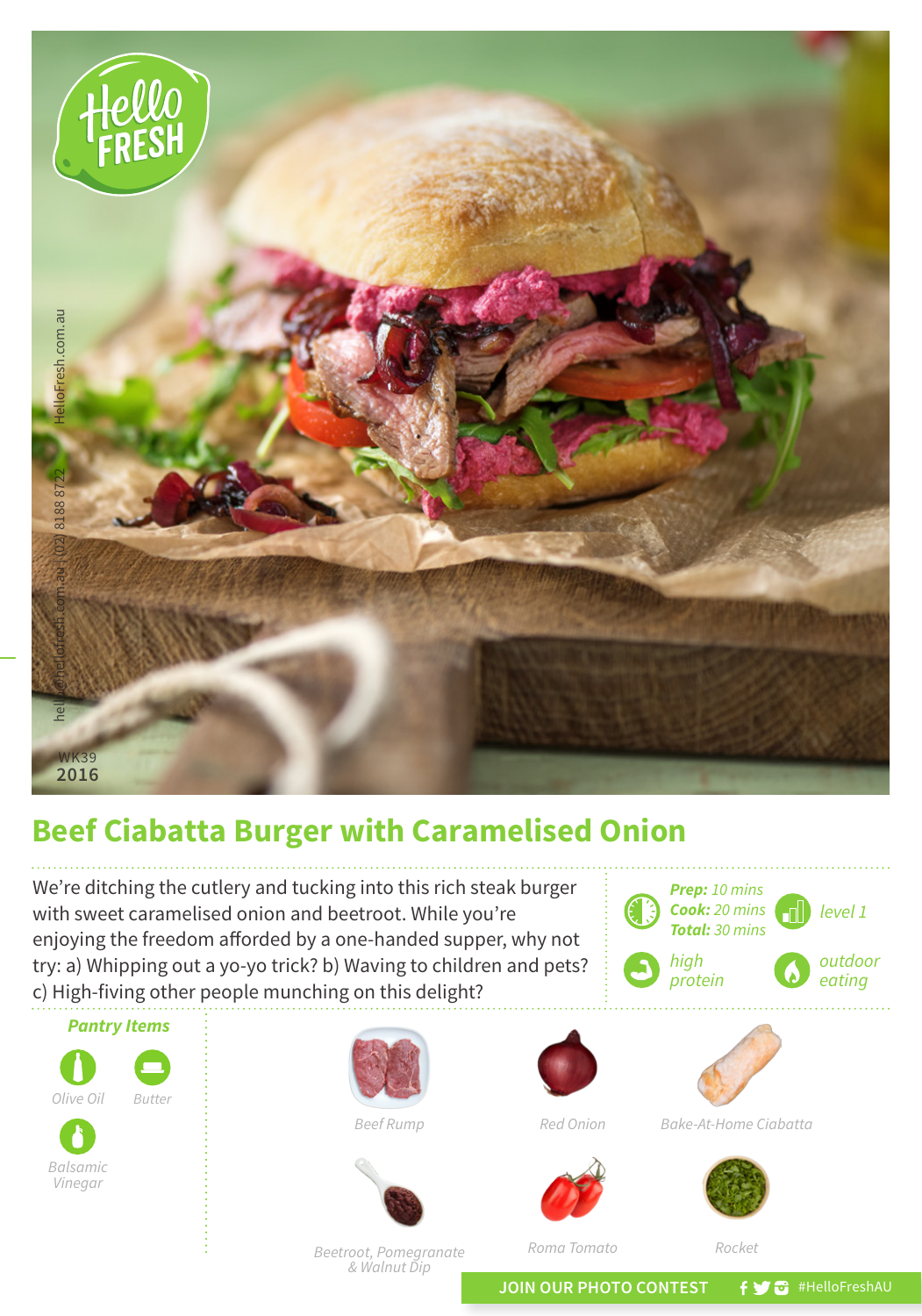

## **Beef Ciabatta Burger with Caramelised Onion**

We're ditching the cutlery and tucking into this rich steak burger with sweet caramelised onion and beetroot. While you're enjoying the freedom afforded by a one-handed supper, why not try: a) Whipping out a yo-yo trick? b) Waving to children and pets? c) High-fiving other people munching on this delight?



*Beetroot, Pomegranate & Walnut Dip*

*Roma Tomato*

*Rocket*

*Prep: 10 mins Cook: 20 mins Total: 30 mins*

JOIN OUR PHOTO CONTEST **fy @** #HelloFreshAU

*level 1*